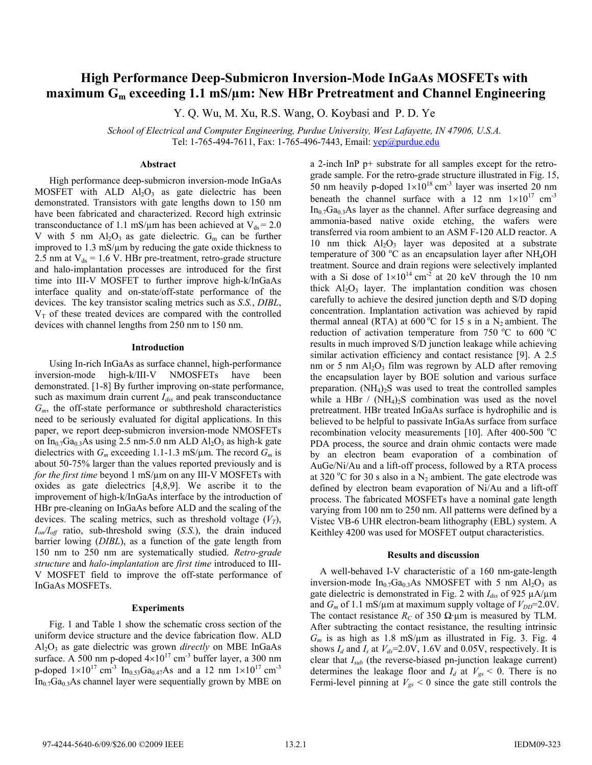# **High Performance Deep-Submicron Inversion-Mode InGaAs MOSFETs with maximum Gm exceeding 1.1 mS/μm: New HBr Pretreatment and Channel Engineering**

Y. Q. Wu, M. Xu, R.S. Wang, O. Koybasi and P. D. Ye

*School of Electrical and Computer Engineering, Purdue University, West Lafayette, IN 47906, U.S.A.*  Tel: 1-765-494-7611, Fax: 1-765-496-7443, Email: vep@purdue.edu

# **Abstract**

High performance deep-submicron inversion-mode InGaAs MOSFET with ALD  $Al_2O_3$  as gate dielectric has been demonstrated. Transistors with gate lengths down to 150 nm have been fabricated and characterized. Record high extrinsic transconductance of 1.1 mS/ $\mu$ m has been achieved at V<sub>ds</sub> = 2.0 V with 5 nm  $Al_2O_3$  as gate dielectric.  $G_m$  can be further improved to  $1.3 \text{ mS/\mu m}$  by reducing the gate oxide thickness to 2.5 nm at  $V_{ds}$  = 1.6 V. HBr pre-treatment, retro-grade structure and halo-implantation processes are introduced for the first time into III-V MOSFET to further improve high-k/InGaAs interface quality and on-state/off-state performance of the devices. The key transistor scaling metrics such as *S.S.*, *DIBL*,  $V<sub>T</sub>$  of these treated devices are compared with the controlled devices with channel lengths from 250 nm to 150 nm.

#### **Introduction**

Using In-rich InGaAs as surface channel, high-performance inversion-mode high-k/III-V NMOSFETs have been demonstrated. [1-8] By further improving on-state performance, such as maximum drain current *I<sub>dss</sub>* and peak transconductance *Gm*, the off-state performance or subthreshold characteristics need to be seriously evaluated for digital applications. In this paper, we report deep-submicron inversion*-*mode NMOSFETs on  $In_{0.7}Ga_{0.3}As$  using 2.5 nm-5.0 nm ALD  $Al_2O_3$  as high-k gate dielectrics with  $G_m$  exceeding 1.1-1.3 mS/ $\mu$ m. The record  $G_m$  is about 50-75% larger than the values reported previously and is *for the first time* beyond 1 mS/μm on any III-V MOSFETs with oxides as gate dielectrics [4,8,9]. We ascribe it to the improvement of high-k/InGaAs interface by the introduction of HBr pre-cleaning on InGaAs before ALD and the scaling of the devices. The scaling metrics, such as threshold voltage  $(V_T)$ , *Ion/Ioff* ratio, sub-threshold swing (*S.S.*), the drain induced barrier lowing (*DIBL*), as a function of the gate length from 150 nm to 250 nm are systematically studied. *Retro-grade structure* and *halo-implantation* are *first time* introduced to III-V MOSFET field to improve the off-state performance of InGaAs MOSFETs.

#### **Experiments**

Fig. 1 and Table 1 show the schematic cross section of the uniform device structure and the device fabrication flow. ALD Al2O3 as gate dielectric was grown *directly* on MBE InGaAs surface. A 500 nm p-doped  $4\times10^{17}$  cm<sup>-3</sup> buffer layer, a 300 nm p-doped  $1\times10^{17}$  cm<sup>-3</sup> In<sub>0.53</sub>Ga<sub>0.47</sub>As and a 12 nm  $1\times10^{17}$  cm<sup>-3</sup>  $In_{0.7}Ga_{0.3}As$  channel layer were sequentially grown by MBE on a 2-inch InP p+ substrate for all samples except for the retrograde sample. For the retro-grade structure illustrated in Fig. 15, 50 nm heavily p-doped  $1\times10^{18}$  cm<sup>-3</sup> layer was inserted 20 nm beneath the channel surface with a 12 nm  $1\times10^{17}$  cm<sup>-3</sup>  $In_{0.7}Ga_{0.3}As$  layer as the channel. After surface degreasing and ammonia-based native oxide etching, the wafers were transferred via room ambient to an ASM F-120 ALD reactor. A 10 nm thick  $A_1O_3$  layer was deposited at a substrate temperature of 300  $^{\circ}$ C as an encapsulation layer after NH<sub>4</sub>OH treatment. Source and drain regions were selectively implanted with a Si dose of  $1\times10^{14}$  cm<sup>-2</sup> at 20 keV through the 10 nm thick  $Al_2O_3$  layer. The implantation condition was chosen carefully to achieve the desired junction depth and S/D doping concentration. Implantation activation was achieved by rapid thermal anneal (RTA) at 600 °C for 15 s in a  $N_2$  ambient. The reduction of activation temperature from 750  $^{\circ}$ C to 600  $^{\circ}$ C results in much improved S/D junction leakage while achieving similar activation efficiency and contact resistance [9]. A 2.5 nm or 5 nm  $Al_2O_3$  film was regrown by ALD after removing the encapsulation layer by BOE solution and various surface preparation.  $(NH_4)_2S$  was used to treat the controlled samples while a HBr /  $(NH_4)_2S$  combination was used as the novel pretreatment. HBr treated InGaAs surface is hydrophilic and is believed to be helpful to passivate InGaAs surface from surface recombination velocity measurements [10]. After 400-500 °C PDA process, the source and drain ohmic contacts were made by an electron beam evaporation of a combination of AuGe/Ni/Au and a lift-off process, followed by a RTA process at 320 °C for 30 s also in a  $N_2$  ambient. The gate electrode was defined by electron beam evaporation of Ni/Au and a lift-off process. The fabricated MOSFETs have a nominal gate length varying from 100 nm to 250 nm. All patterns were defined by a Vistec VB-6 UHR electron-beam lithography (EBL) system. A Keithley 4200 was used for MOSFET output characteristics.

#### **Results and discussion**

 A well-behaved I-V characteristic of a 160 nm-gate-length inversion-mode  $In_{0.7}Ga_{0.3}As$  NMOSFET with 5 nm  $Al_2O_3$  as gate dielectric is demonstrated in Fig. 2 with *Idss* of 925 μA/μm and  $G_m$  of 1.1 mS/ $\mu$ m at maximum supply voltage of  $V_{DD}$ =2.0V. The contact resistance  $R_C$  of 350  $\Omega$  um is measured by TLM. After subtracting the contact resistance, the resulting intrinsic  $G_m$  is as high as 1.8 mS/ $\mu$ m as illustrated in Fig. 3. Fig. 4 shows  $I_d$  and  $I_s$  at  $V_{ds}$ =2.0V, 1.6V and 0.05V, respectively. It is clear that *Isub* (the reverse-biased pn-junction leakage current) determines the leakage floor and  $I_d$  at  $V_{gs}$  < 0. There is no Fermi-level pinning at  $V_{gs}$  < 0 since the gate still controls the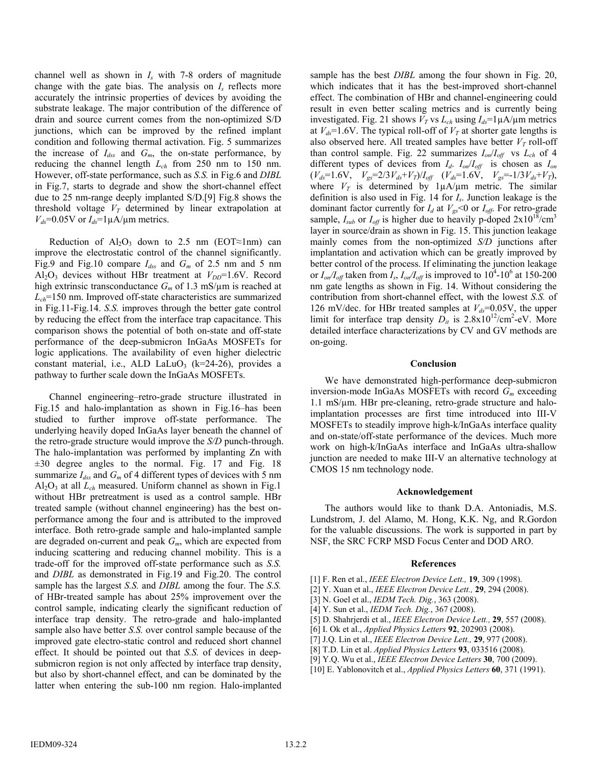channel well as shown in *Is* with 7-8 orders of magnitude change with the gate bias. The analysis on *Is* reflects more accurately the intrinsic properties of devices by avoiding the substrate leakage. The major contribution of the difference of drain and source current comes from the non-optimized S/D junctions, which can be improved by the refined implant condition and following thermal activation. Fig. 5 summarizes the increase of *Idss* and *Gm*, the on-state performance, by reducing the channel length *Lch* from 250 nm to 150 nm. However, off-state performance, such as *S.S.* in Fig.6 and *DIBL* in Fig.7, starts to degrade and show the short-channel effect due to 25 nm-range deeply implanted S/D.[9] Fig.8 shows the threshold voltage  $V_T$  determined by linear extrapolation at  $V_{ds}$ =0.05V or  $I_{ds}$ =1 $\mu$ A/ $\mu$ m metrics.

Reduction of  $Al_2O_3$  down to 2.5 nm (EOT $\approx$ 1nm) can improve the electrostatic control of the channel significantly. Fig.9 and Fig.10 compare *Idss* and *Gm* of 2.5 nm and 5 nm  $Al_2O_3$  devices without HBr treatment at  $V_{DD} = 1.6V$ . Record high extrinsic transconductance *Gm* of 1.3 mS/μm is reached at *Lch*=150 nm. Improved off-state characteristics are summarized in Fig.11-Fig.14. *S.S.* improves through the better gate control by reducing the effect from the interface trap capacitance. This comparison shows the potential of both on-state and off-state performance of the deep-submicron InGaAs MOSFETs for logic applications. The availability of even higher dielectric constant material, i.e., ALD LaLuO<sub>3</sub> ( $k=24-26$ ), provides a pathway to further scale down the InGaAs MOSFETs.

Channel engineering–retro-grade structure illustrated in Fig.15 and halo-implantation as shown in Fig.16–has been studied to further improve off-state performance. The underlying heavily doped InGaAs layer beneath the channel of the retro-grade structure would improve the *S/D* punch-through. The halo-implantation was performed by implanting Zn with  $\pm 30$  degree angles to the normal. Fig. 17 and Fig. 18 summarize  $I_{dss}$  and  $G_m$  of 4 different types of devices with 5 nm  $Al_2O_3$  at all  $L_{ch}$  measured. Uniform channel as shown in Fig.1 without HBr pretreatment is used as a control sample. HBr treated sample (without channel engineering) has the best onperformance among the four and is attributed to the improved interface. Both retro-grade sample and halo-implanted sample are degraded on-current and peak *Gm*, which are expected from inducing scattering and reducing channel mobility. This is a trade-off for the improved off-state performance such as *S.S.* and *DIBL* as demonstrated in Fig.19 and Fig.20. The control sample has the largest *S.S.* and *DIBL* among the four. The *S.S.* of HBr-treated sample has about 25% improvement over the control sample, indicating clearly the significant reduction of interface trap density. The retro-grade and halo-implanted sample also have better *S.S.* over control sample because of the improved gate electro-static control and reduced short channel effect. It should be pointed out that *S.S.* of devices in deepsubmicron region is not only affected by interface trap density, but also by short-channel effect, and can be dominated by the latter when entering the sub-100 nm region. Halo-implanted

sample has the best *DIBL* among the four shown in Fig. 20, which indicates that it has the best-improved short-channel effect. The combination of HBr and channel-engineering could result in even better scaling metrics and is currently being investigated. Fig. 21 shows  $V_T$  vs  $L_{ch}$  using  $I_{ds} = 1 \mu A/\mu m$  metrics at  $V_{ds}$ =1.6V. The typical roll-off of  $V_T$  at shorter gate lengths is also observed here. All treated samples have better  $V_T$  roll-off than control sample. Fig. 22 summarizes  $I_{on}/I_{off}$  vs  $L_{ch}$  of 4 different types of devices from  $I_d$ .  $I_{on}/I_{off}$  is chosen as  $I_{on}$  $(V_{ds} = 1.6V, V_{gs} = 2/3V_{ds} + V_T)/I_{off}$   $(V_{ds} = 1.6V, V_{gs} = -1/3V_{ds} + V_T),$ where  $V_T$  is determined by  $1\mu A/\mu m$  metric. The similar definition is also used in Fig. 14 for *Is*. Junction leakage is the dominant factor currently for  $I_d$  at  $V_{gs}$  <0 or  $I_{off}$ . For retro-grade sample,  $I_{sub}$  or  $I_{off}$  is higher due to heavily p-doped  $2 \times 10^{18}$ /cm<sup>3</sup> layer in source/drain as shown in Fig. 15. This junction leakage mainly comes from the non-optimized *S/D* junctions after implantation and activation which can be greatly improved by better control of the process. If eliminating the junction leakage or  $I_{on}/I_{off}$  taken from  $I_s$ ,  $I_{on}/I_{off}$  is improved to  $10^4$ -10<sup>6</sup> at 150-200 nm gate lengths as shown in Fig. 14. Without considering the contribution from short-channel effect, with the lowest *S.S.* of 126 mV/dec. for HBr treated samples at  $V_{ds}$ =0.05V, the upper limit for interface trap density  $D_{it}$  is  $2.8 \times 10^{12} / \text{cm}^2$ -eV. More detailed interface characterizations by CV and GV methods are on-going.

# **Conclusion**

 We have demonstrated high-performance deep-submicron inversion-mode InGaAs MOSFETs with record *Gm* exceeding 1.1 mS/μm. HBr pre-cleaning, retro-grade structure and haloimplantation processes are first time introduced into III-V MOSFETs to steadily improve high-k/InGaAs interface quality and on-state/off-state performance of the devices. Much more work on high-k/InGaAs interface and InGaAs ultra-shallow junction are needed to make III-V an alternative technology at CMOS 15 nm technology node.

## **Acknowledgement**

 The authors would like to thank D.A. Antoniadis, M.S. Lundstrom, J. del Alamo, M. Hong, K.K. Ng, and R.Gordon for the valuable discussions. The work is supported in part by NSF, the SRC FCRP MSD Focus Center and DOD ARO.

## **References**

- [1] F. Ren et al., *IEEE Electron Device Lett.,* **19**, 309 (1998).
- [2] Y. Xuan et al., *IEEE Electron Device Lett.,* **29**, 294 (2008).
- [3] N. Goel et al., *IEDM Tech. Dig.*, 363 (2008).
- [4] Y. Sun et al., *IEDM Tech. Dig.*, 367 (2008).
- [5] D. Shahrjerdi et al., *IEEE Electron Device Lett.,* **29**, 557 (2008).
- [6] I. Ok et al., *Applied Physics Letters* **92**, 202903 (2008).
- [7] J.Q. Lin et al., *IEEE Electron Device Lett.,* **29**, 977 (2008).
- [8] T.D. Lin et al. *Applied Physics Letters* **93**, 033516 (2008).
- [9] Y.Q. Wu et al., *IEEE Electron Device Letters* **30**, 700 (2009).
- [10] E. Yablonovitch et al., *Applied Physics Letters* **60**, 371 (1991).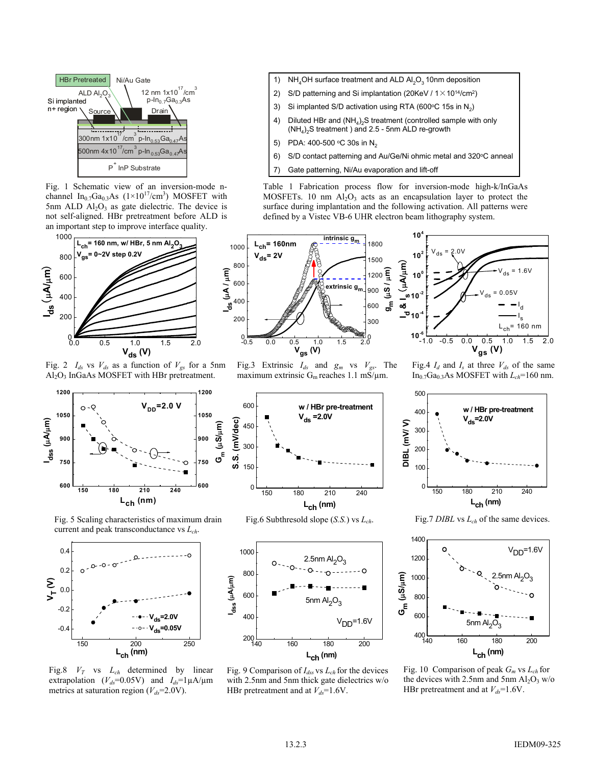

Fig. 1 Schematic view of an inversion-mode nchannel In<sub>0.7</sub>Ga<sub>0.3</sub>As ( $1\times10^{17}$ /cm<sup>3</sup>) MOSFET with 5nm ALD  $Al_2O_3$  as gate dielectric. The device is not self-aligned. HBr pretreatment before ALD is an important step to improve interface quality.



Fig. 2  $I_{ds}$  vs  $V_{ds}$  as a function of  $V_{gs}$  for a 5nm Al2O3 InGaAs MOSFET with HBr pretreatment.



Fig. 5 Scaling characteristics of maximum drain current and peak transconductance vs *Lch*.



Fig.8 *VT* vs *Lch* determined by linear extrapolation ( $V_{ds}$ =0.05V) and  $I_{ds}$ =1 $\mu$ A/ $\mu$ m metrics at saturation region ( $V_{ds}$ =2.0V).

- 1) NH<sub>4</sub>OH surface treatment and ALD  $Al_2O_3$  10nm deposition
- 2) S/D patterning and Si implantation (20KeV /  $1 \times 10^{14}$ /cm<sup>2</sup>)
- 3) Si implanted S/D activation using RTA (600 $\degree$ C 15s in N<sub>2</sub>)
- 4) Diluted HBr and  $(NH_4)_2S$  treatment (controlled sample with only  $(NH_4)_2$ S treatment ) and 2.5 - 5nm ALD re-growth
- 5) PDA: 400-500 °C 30s in  $N_2$
- 6) S/D contact patterning and Au/Ge/Ni ohmic metal and 320°C anneal
- 7) Gate patterning, Ni/Au evaporation and lift-off

Table 1 Fabrication process flow for inversion-mode high-k/InGaAs MOSFETs. 10 nm  $Al_2O_3$  acts as an encapsulation layer to protect the surface during implantation and the following activation. All patterns were defined by a Vistec VB-6 UHR electron beam lithography system.



Fig.3 Extrinsic *Ids* and *gm* vs *Vgs*. The maximum extrinsic  $G_m$  reaches 1.1 mS/ $\mu$ m.

Fig.4  $I_d$  and  $I_s$  at three  $V_{ds}$  of the same In<sub>0.7</sub>Ga<sub>0.3</sub>As MOSFET with  $L_{ch}$ =160 nm.



Fig.6 Subthresold slope (*S.S.*) vs *Lch*.

 $\Omega$ 

150

300

**S.S. (mV/dec)**

450

600



Fig. 9 Comparison of  $I_{ds}$  vs  $L_{ch}$  for the devices with 2.5nm and 5nm thick gate dielectrics w/o HBr pretreatment and at  $V_{ds}$ =1.6V.



Fig.7 *DIBL* vs *Lch* of the same devices.



Fig. 10 Comparison of peak *Gm* vs *Lch* for the devices with 2.5nm and 5nm  $Al_2O_3$  w/o HBr pretreatment and at  $V_{ds}$ =1.6V.